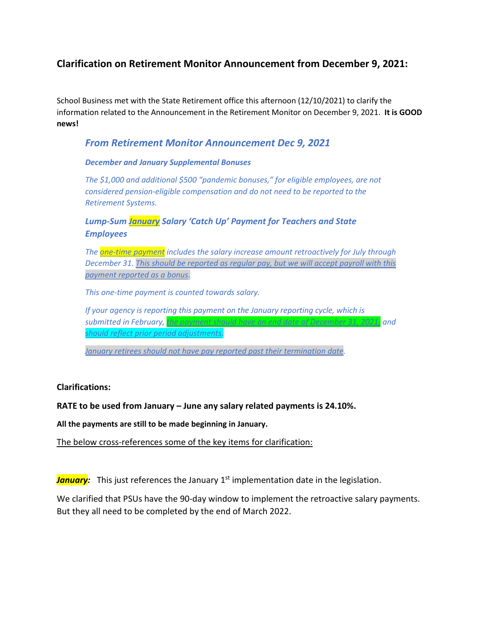# **Clarification on Retirement Monitor Announcement from December 9, 2021:**

School Business met with the State Retirement office this afternoon (12/10/2021) to clarify the information related to the Announcement in the Retirement Monitor on December 9, 2021. **It is GOOD news!**

## *From Retirement Monitor Announcement Dec 9, 2021*

### *December and January Supplemental Bonuses*

*The \$1,000 and additional \$500 "pandemic bonuses," for eligible employees, are not considered pension-eligible compensation and do not need to be reported to the Retirement Systems.* 

*Lump-Sum January Salary 'Catch Up' Payment for Teachers and State Employees* 

*The one-time payment includes the salary increase amount retroactively for July through December 31. This should be reported as regular pay, but we will accept payroll with this payment reported as a bonus.*

*This one-time payment is counted towards salary.*

*If your agency is reporting this payment on the January reporting cycle, which is submitted in February, the payment should have an end date of December 31, 2021, and should reflect prior period adjustments.*

*January retirees should not have pay reported past their termination date.*

## **Clarifications:**

## **RATE to be used from January – June any salary related payments is 24.10%.**

**All the payments are still to be made beginning in January.**

The below cross-references some of the key items for clarification:

**January:** This just references the January 1<sup>st</sup> implementation date in the legislation.

We clarified that PSUs have the 90-day window to implement the retroactive salary payments. But they all need to be completed by the end of March 2022.